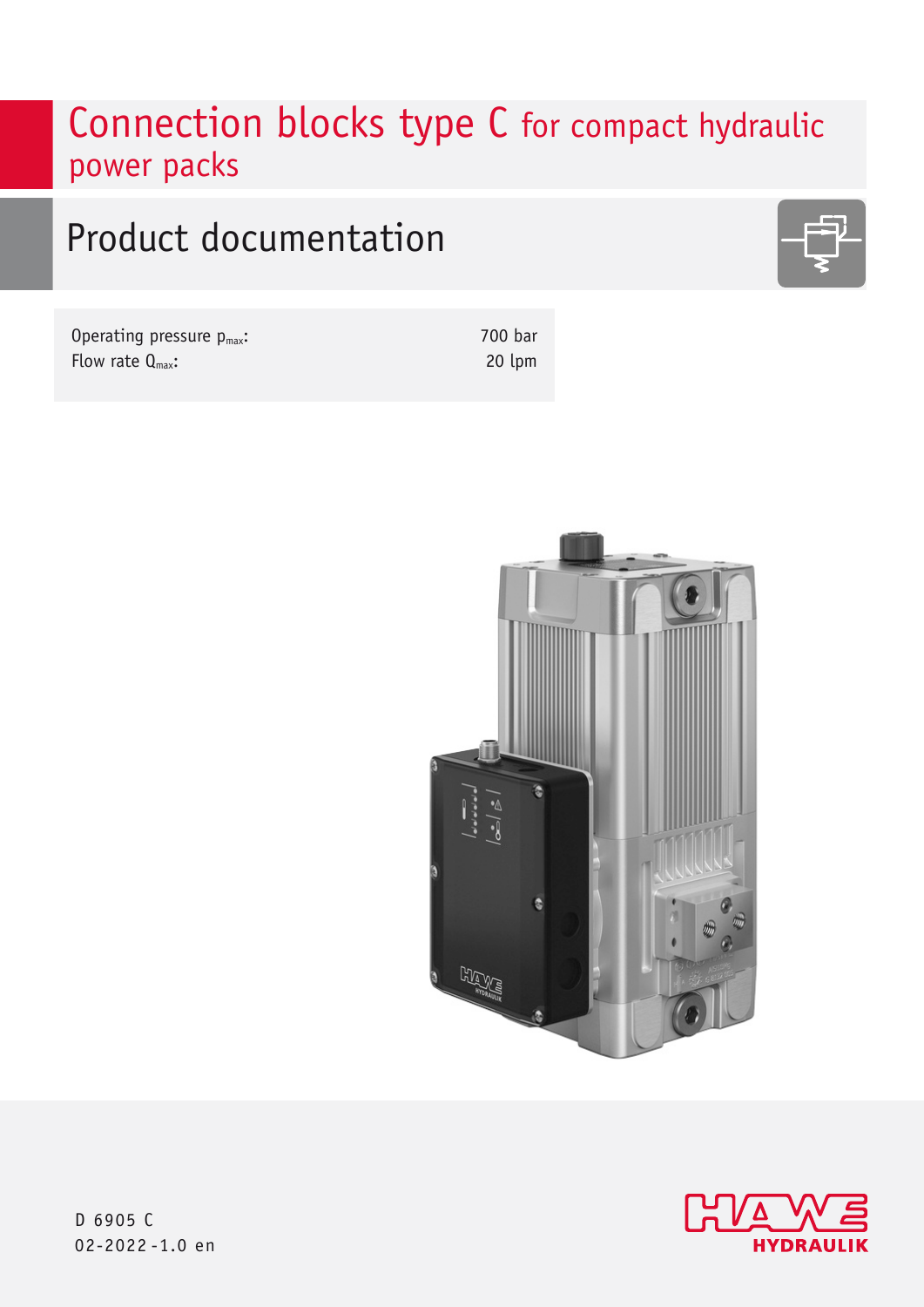# Connection blocks type C for compact hydraulic power packs

# Product documentation

Operating pressure  $p_{max}$ : Flow rate  $Q_{\text{max}}$ :

700 bar 20 lpm





D 6905 C 02-2022 -1.0 en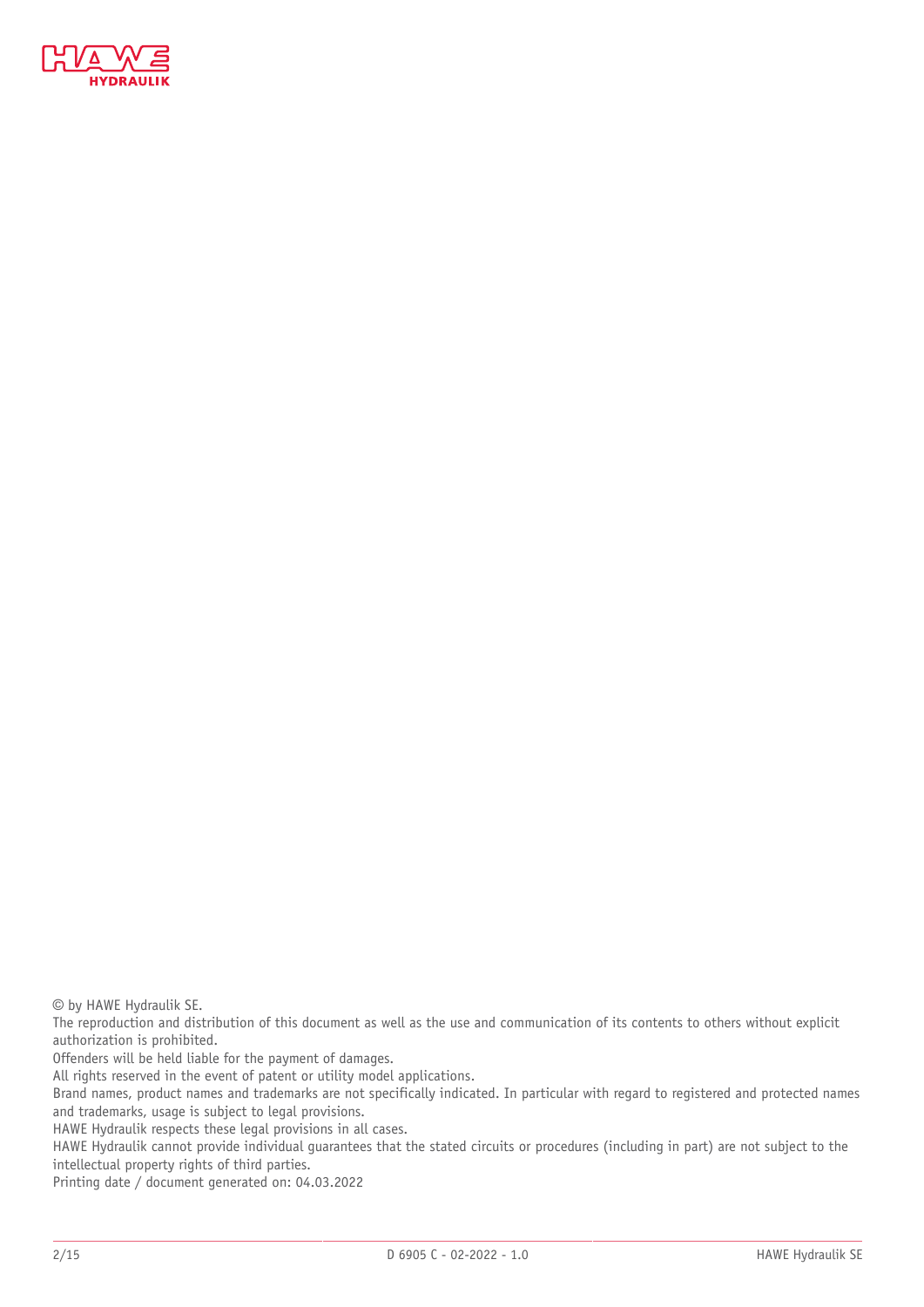

© by HAWE Hydraulik SE.

The reproduction and distribution of this document as well as the use and communication of its contents to others without explicit authorization is prohibited.

Offenders will be held liable for the payment of damages.

All rights reserved in the event of patent or utility model applications.

Brand names, product names and trademarks are not specifically indicated. In particular with regard to registered and protected names and trademarks, usage is subject to legal provisions.

HAWE Hydraulik respects these legal provisions in all cases.

HAWE Hydraulik cannot provide individual guarantees that the stated circuits or procedures (including in part) are not subject to the intellectual property rights of third parties.

Printing date / document generated on: 04.03.2022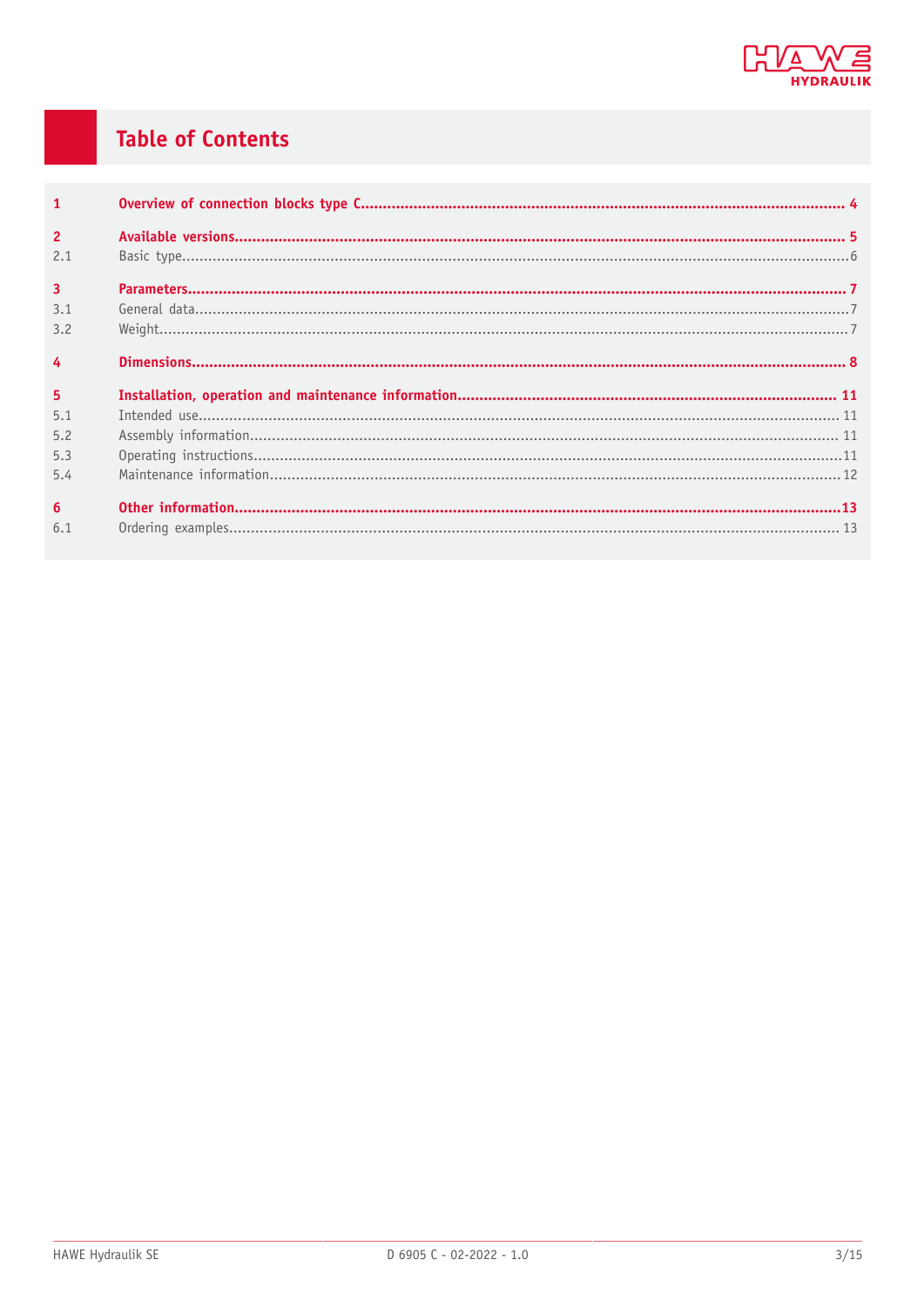

# **Table of Contents**

| $\overline{1}$  |  |
|-----------------|--|
| $\overline{2}$  |  |
| 2.1             |  |
| $\overline{3}$  |  |
| 3.1             |  |
| 3.2             |  |
| $\overline{4}$  |  |
|                 |  |
| $5\phantom{a}$  |  |
| 5.1             |  |
| 5.2             |  |
| 5.3             |  |
| 5.4             |  |
| $6\overline{6}$ |  |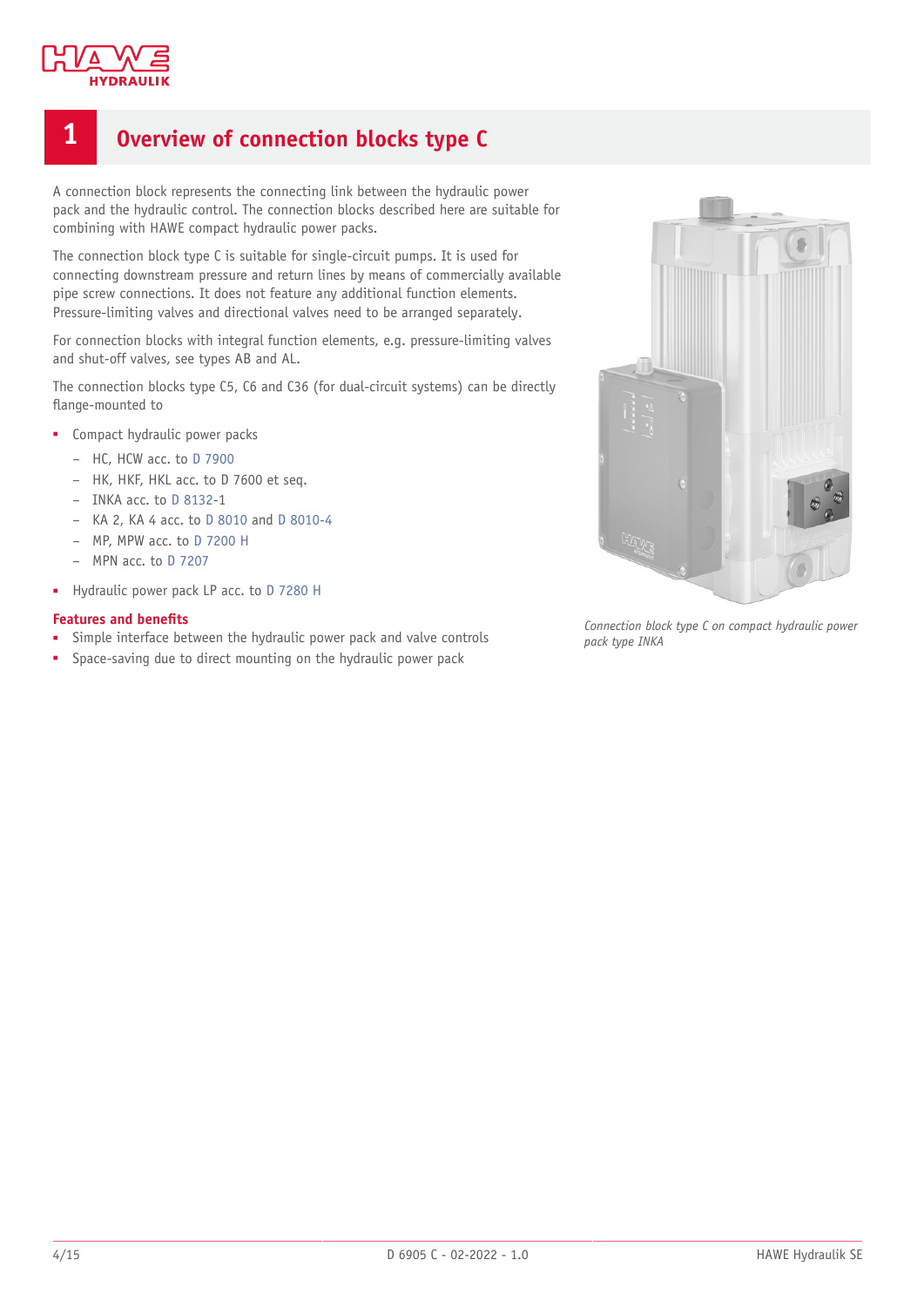

# <span id="page-3-0"></span>**1 Overview of connection blocks type C**

A connection block represents the connecting link between the hydraulic power pack and the hydraulic control. The connection blocks described here are suitable for combining with HAWE compact hydraulic power packs.

The connection block type C is suitable for single-circuit pumps. It is used for connecting downstream pressure and return lines by means of commercially available pipe screw connections. It does not feature any additional function elements. Pressure-limiting valves and directional valves need to be arranged separately.

For connection blocks with integral function elements, e.g. pressure-limiting valves and shut-off valves, see types AB and AL.

The connection blocks type C5, C6 and C36 (for dual-circuit systems) can be directly flange-mounted to

- Compact hydraulic power packs
	- HC, HCW acc. to [D 7900](https://downloads.hawe.com/7/9/D7900-en.pdf)
	- HK, HKF, HKL acc. to D 7600 et seq.
	- INKA acc. to [D 8132](http://www.url.de)-1
	- KA 2, KA 4 acc. to [D 8010](https://downloads.hawe.com/8/0/D8010-en.pdf) and [D 8010-4](https://downloads.hawe.com/8/0/D8010-4-en.pdf)
	- MP, MPW acc. to [D 7200 H](https://downloads.hawe.com/7/2/D7200H-en.pdf)
	- MPN acc. to [D 7207](https://downloads.hawe.com/7/2/D7207-en.pdf)
- Hydraulic power pack LP acc. to [D 7280 H](https://downloads.hawe.com/7/2/D7280H-de.pdf)

#### **Features and benets**

- Simple interface between the hydraulic power pack and valve controls
- Space-saving due to direct mounting on the hydraulic power pack



*Connection block type C on compact hydraulic power pack type INKA*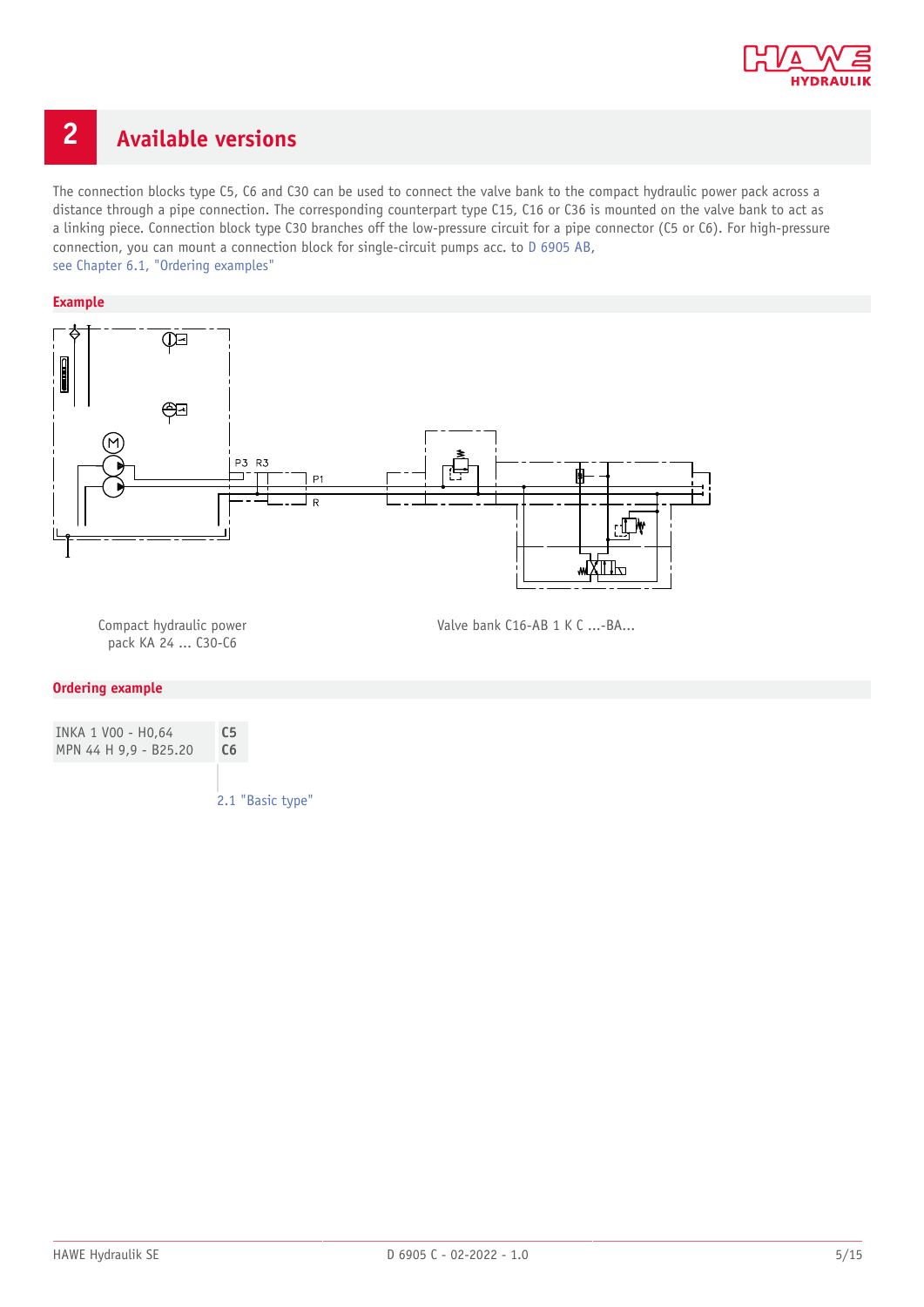

# <span id="page-4-0"></span>**2 Available versions**

The connection blocks type C5, C6 and C30 can be used to connect the valve bank to the compact hydraulic power pack across a distance through a pipe connection. The corresponding counterpart type C15, C16 or C36 is mounted on the valve bank to act as a linking piece. Connection block type C30 branches off the low-pressure circuit for a pipe connector (C5 or C6). For high-pressure connection, you can mount a connection block for single-circuit pumps acc. to [D 6905 AB,](https://downloads.hawe.com/6/9/D6905_AB-de.pdf) [see Chapter 6.1,](#page-12-1) "Ordering examples"

#### **Example**



Compact hydraulic power pack KA 24 ... C30-C6

Valve bank C16-AB 1 K C ...-BA...

#### **Ordering example**

| INKA 1 VOO - HO.64    | C <sub>5</sub> |
|-----------------------|----------------|
| MPN 44 H 9,9 - B25.20 | C <sub>6</sub> |
|                       |                |

2.1 ["Basic](#page-5-0) type"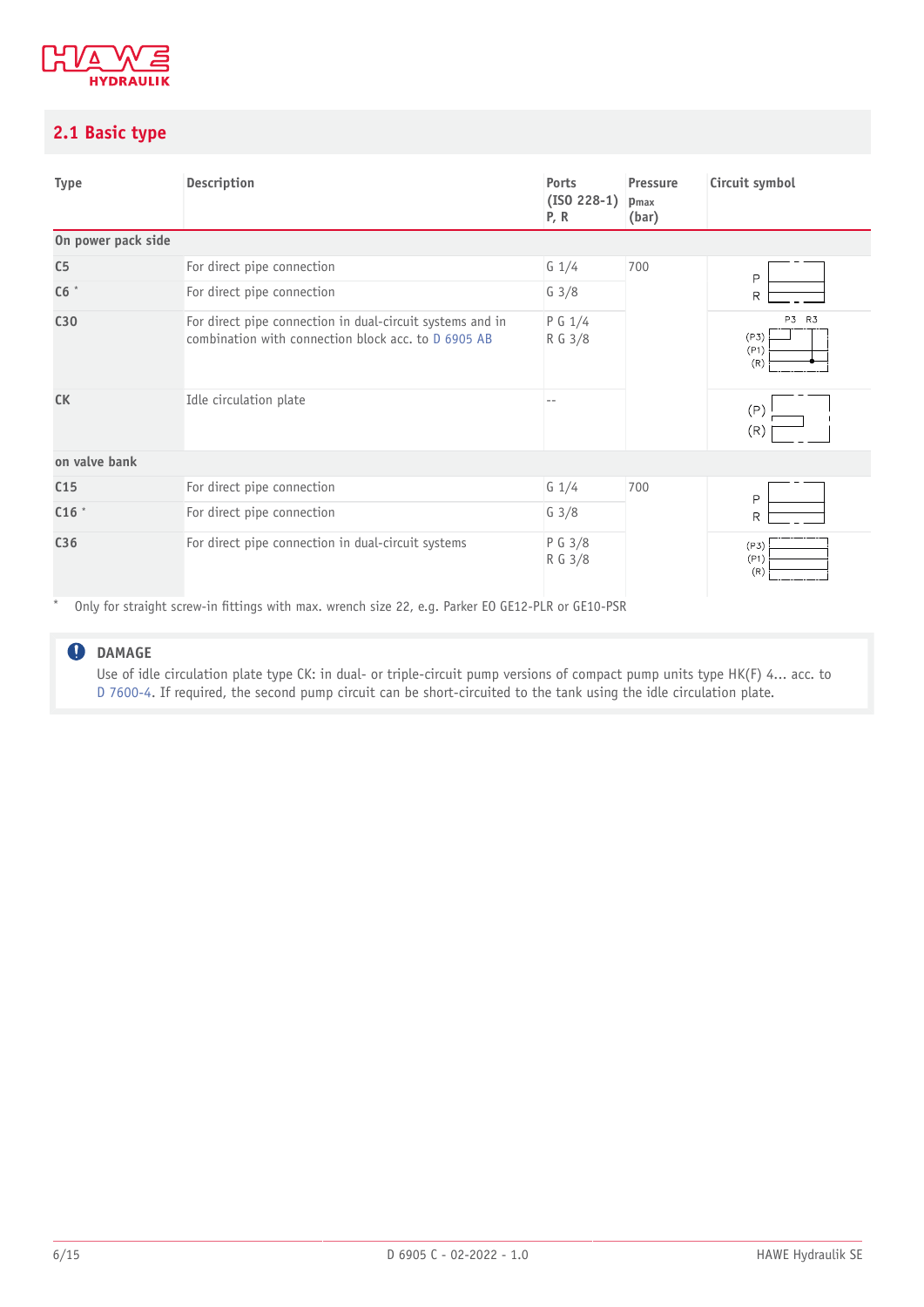

## <span id="page-5-0"></span>**2.1 Basic type**

| <b>Type</b>        | Description                                                                                                      | Ports<br>$($ ISO 228-1 $)$<br>P, R | Pressure<br>pmax<br>(bar) | Circuit symbol               |
|--------------------|------------------------------------------------------------------------------------------------------------------|------------------------------------|---------------------------|------------------------------|
| On power pack side |                                                                                                                  |                                    |                           |                              |
| C <sub>5</sub>     | For direct pipe connection                                                                                       | $G \frac{1}{4}$                    | 700                       | $\mathsf{P}$                 |
| C6                 | For direct pipe connection                                                                                       | $G \frac{3}{8}$                    |                           | R                            |
| C30                | For direct pipe connection in dual-circuit systems and in<br>combination with connection block acc. to D 6905 AB | P G 1/4<br>R G 3/8                 |                           | P3 R3<br>(P3)<br>(P1)<br>(R) |
| <b>CK</b>          | Idle circulation plate                                                                                           |                                    |                           | (P)<br>(R)                   |
| on valve bank      |                                                                                                                  |                                    |                           |                              |
| C <sub>15</sub>    | For direct pipe connection                                                                                       | $G \frac{1}{4}$                    | 700                       | P                            |
| C16                | For direct pipe connection                                                                                       | $G \frac{3}{8}$                    |                           | $\mathsf{R}$                 |
| C36                | For direct pipe connection in dual-circuit systems<br>$\sim$                                                     | P G 3/8<br>R G 3/8                 |                           | (P3)<br>(P1)<br>(R)          |

Only for straight screw-in fittings with max. wrench size 22, e.g. Parker EO GE12-PLR or GE10-PSR

## **DAMAGE**

Use of idle circulation plate type CK: in dual- or triple-circuit pump versions of compact pump units type HK(F) 4... acc. to [D 7600-4.](https://downloads.hawe.com/7/6/D7600-4-en.pdf) If required, the second pump circuit can be short-circuited to the tank using the idle circulation plate.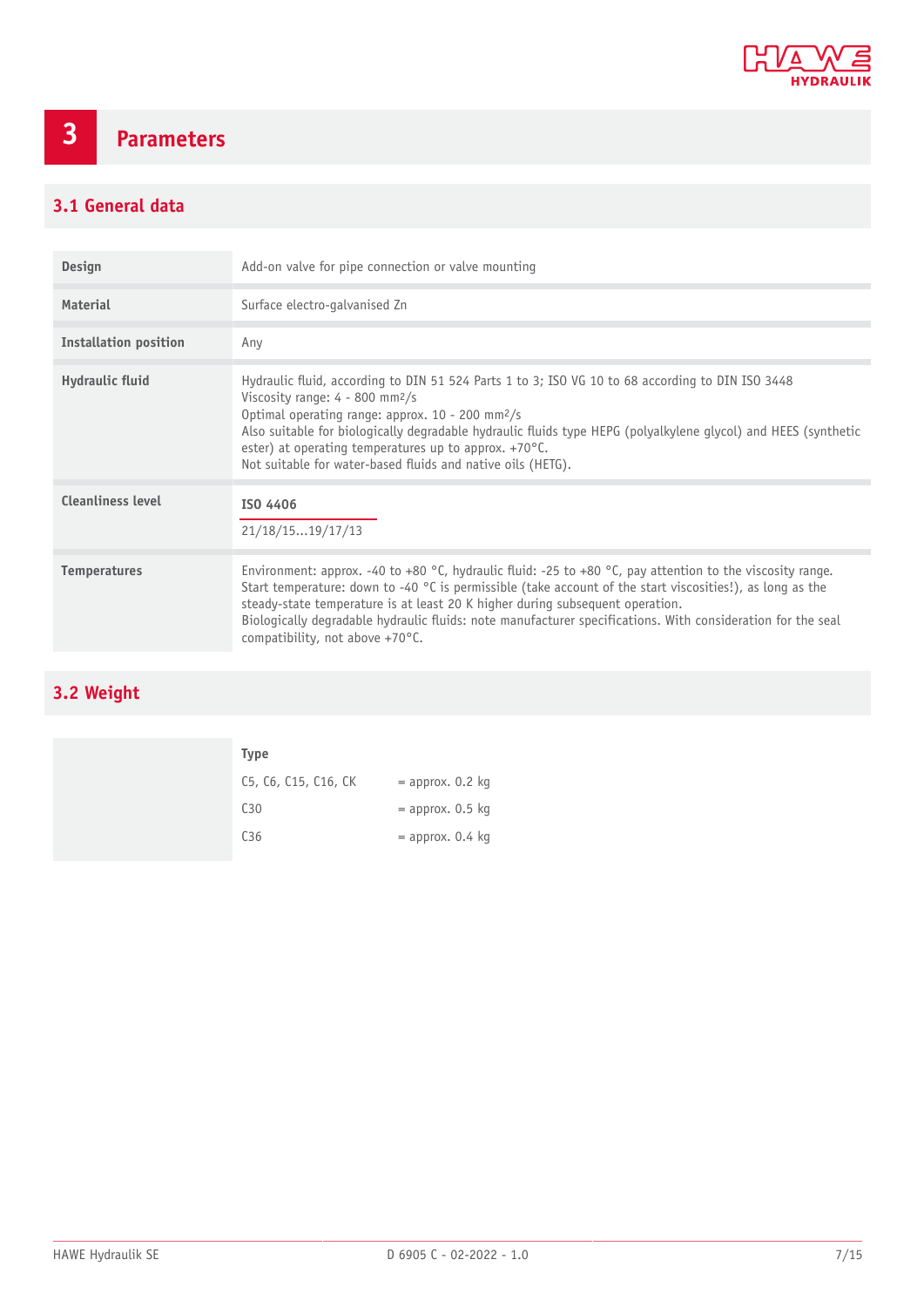

# <span id="page-6-0"></span>**3 Parameters**

# <span id="page-6-1"></span>**3.1 General data**

| <b>Design</b>                | Add-on valve for pipe connection or valve mounting                                                                                                                                                                                                                                                                                                                                                                                                                    |
|------------------------------|-----------------------------------------------------------------------------------------------------------------------------------------------------------------------------------------------------------------------------------------------------------------------------------------------------------------------------------------------------------------------------------------------------------------------------------------------------------------------|
| Material                     | Surface electro-galvanised Zn                                                                                                                                                                                                                                                                                                                                                                                                                                         |
| <b>Installation position</b> | Any                                                                                                                                                                                                                                                                                                                                                                                                                                                                   |
| Hydraulic fluid              | Hydraulic fluid, according to DIN 51 524 Parts 1 to 3; ISO VG 10 to 68 according to DIN ISO 3448<br>Viscosity range: $4 - 800$ mm <sup>2</sup> /s<br>Optimal operating range: approx. 10 - 200 mm <sup>2</sup> /s<br>Also suitable for biologically degradable hydraulic fluids type HEPG (polyalkylene glycol) and HEES (synthetic<br>ester) at operating temperatures up to approx. $+70^{\circ}$ C.<br>Not suitable for water-based fluids and native oils (HETG). |
| <b>Cleanliness level</b>     | ISO 4406<br>21/18/1519/17/13                                                                                                                                                                                                                                                                                                                                                                                                                                          |
| <b>Temperatures</b>          | Environment: approx. -40 to +80 °C, hydraulic fluid: -25 to +80 °C, pay attention to the viscosity range.<br>Start temperature: down to -40 °C is permissible (take account of the start viscosities!), as long as the<br>steady-state temperature is at least 20 K higher during subsequent operation.<br>Biologically degradable hydraulic fluids: note manufacturer specifications. With consideration for the seal<br>compatibility, not above $+70^{\circ}$ C.   |

# <span id="page-6-2"></span>**3.2 Weight**

| <b>Type</b>          |                    |
|----------------------|--------------------|
| C5, C6, C15, C16, CK | $=$ approx. 0.2 kg |
| C <sub>30</sub>      | $=$ approx. 0.5 kg |
| C <sub>36</sub>      | $=$ approx. 0.4 kg |
|                      |                    |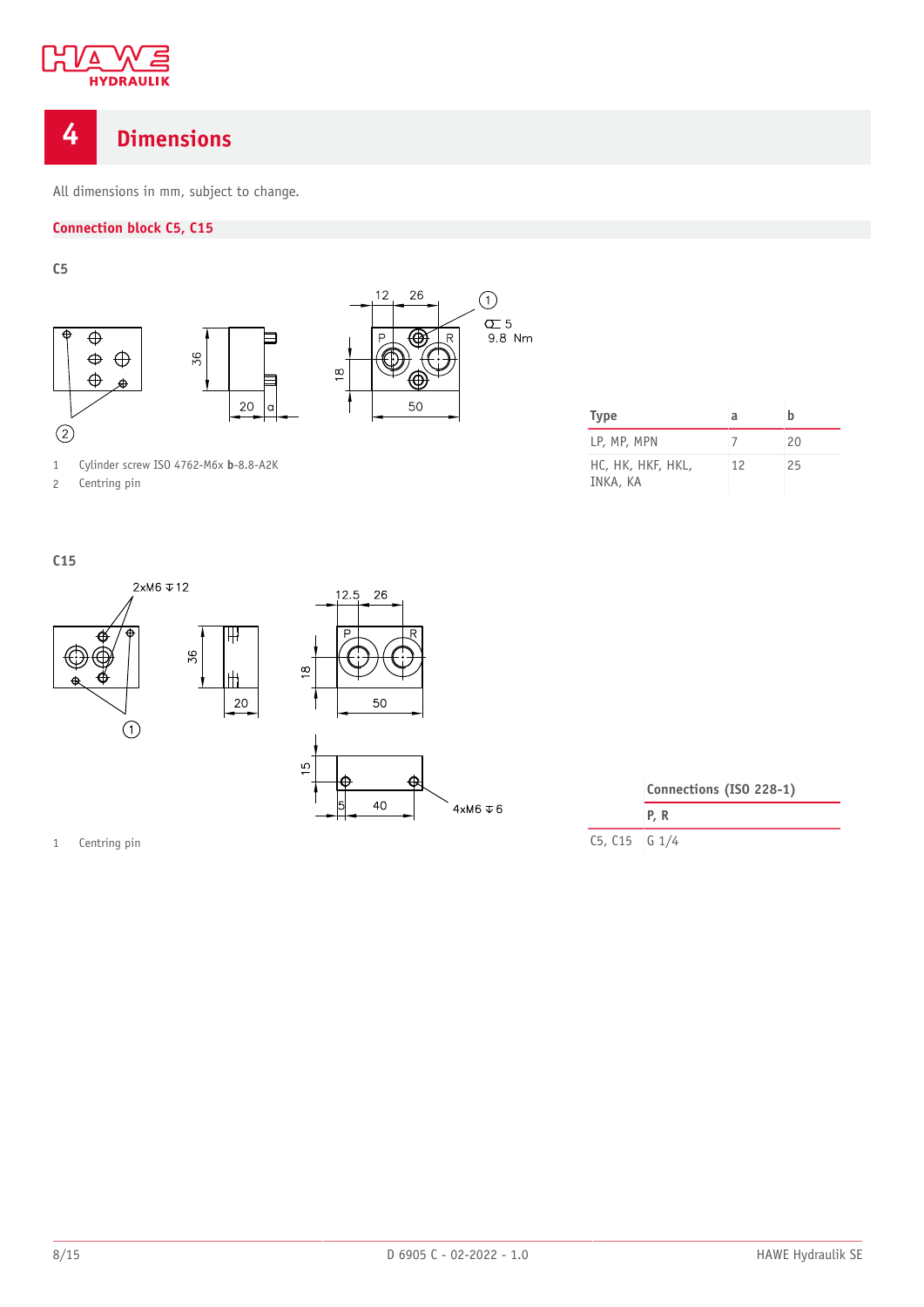

# <span id="page-7-0"></span>**4 Dimensions**

All dimensions in mm, subject to change.

### **Connection block C5, C15**

**C5**



|  |  | Cylinder screw ISO 4762-M6x b-8.8-A2K |
|--|--|---------------------------------------|

2 Centring pin

| <b>Type</b>                   | a  | h  |
|-------------------------------|----|----|
| LP, MP, MPN                   |    | 20 |
| HC, HK, HKF, HKL,<br>INKA, KA | 12 | 25 |

**C15**



40

 $4xM6 \nabla 6$ 

| Connections (ISO 228-1) |            |  |
|-------------------------|------------|--|
|                         | <b>P.R</b> |  |
| $C5, C15$ $G1/4$        |            |  |

1 Centring pin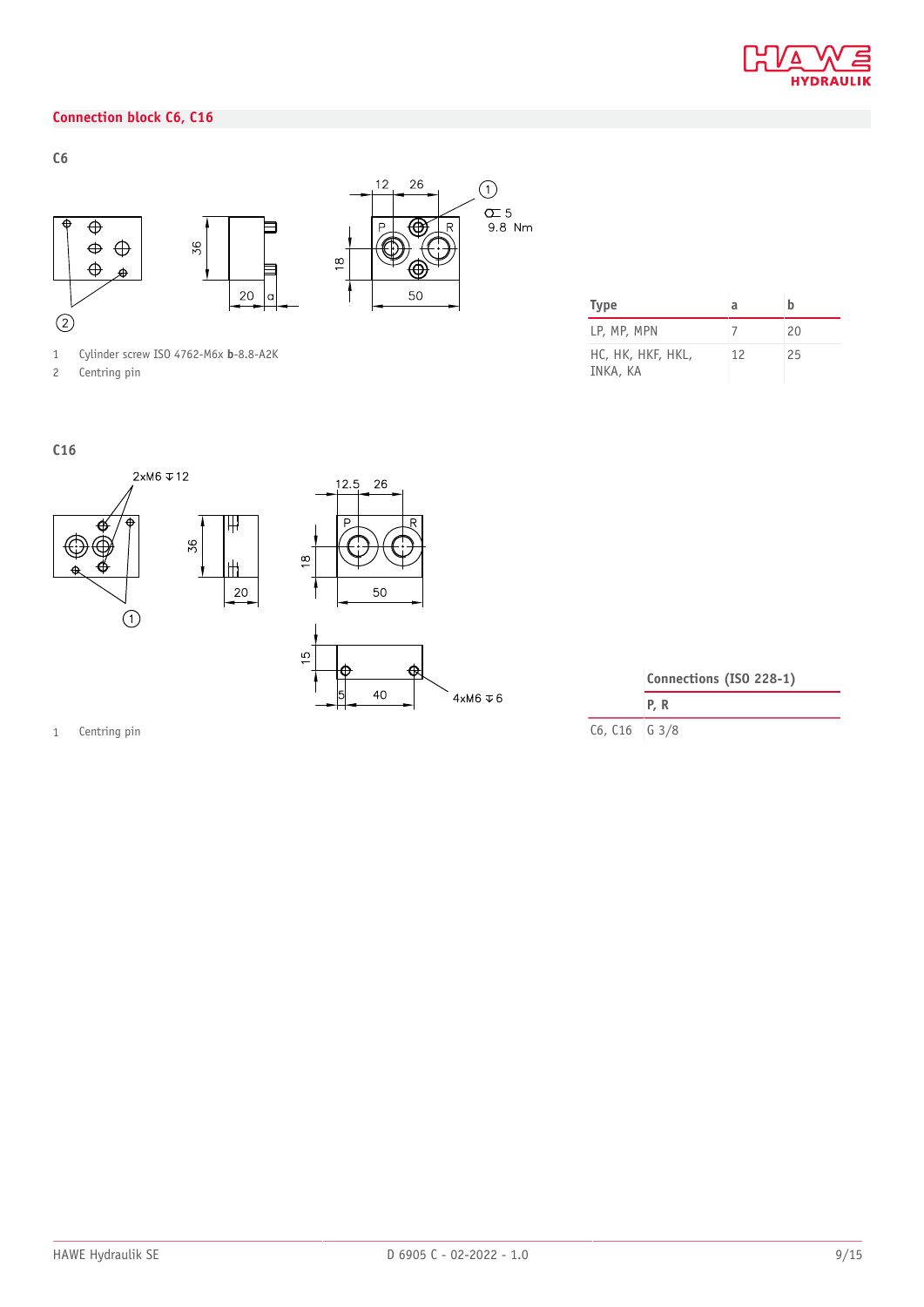

### **Connection block C6, C16**



1 Cylinder screw ISO 4762-M6x **b**-8.8-A2K

2 Centring pin

| Type                          | a  |    |
|-------------------------------|----|----|
| LP, MP, MPN                   |    | 20 |
| HC, HK, HKF, HKL,<br>INKA, KA | 12 | 25 |

**C16**



1 Centring pin

| Connections (ISO 228-1) |  |
|-------------------------|--|
| P.R                     |  |

C6, C16 G 3/8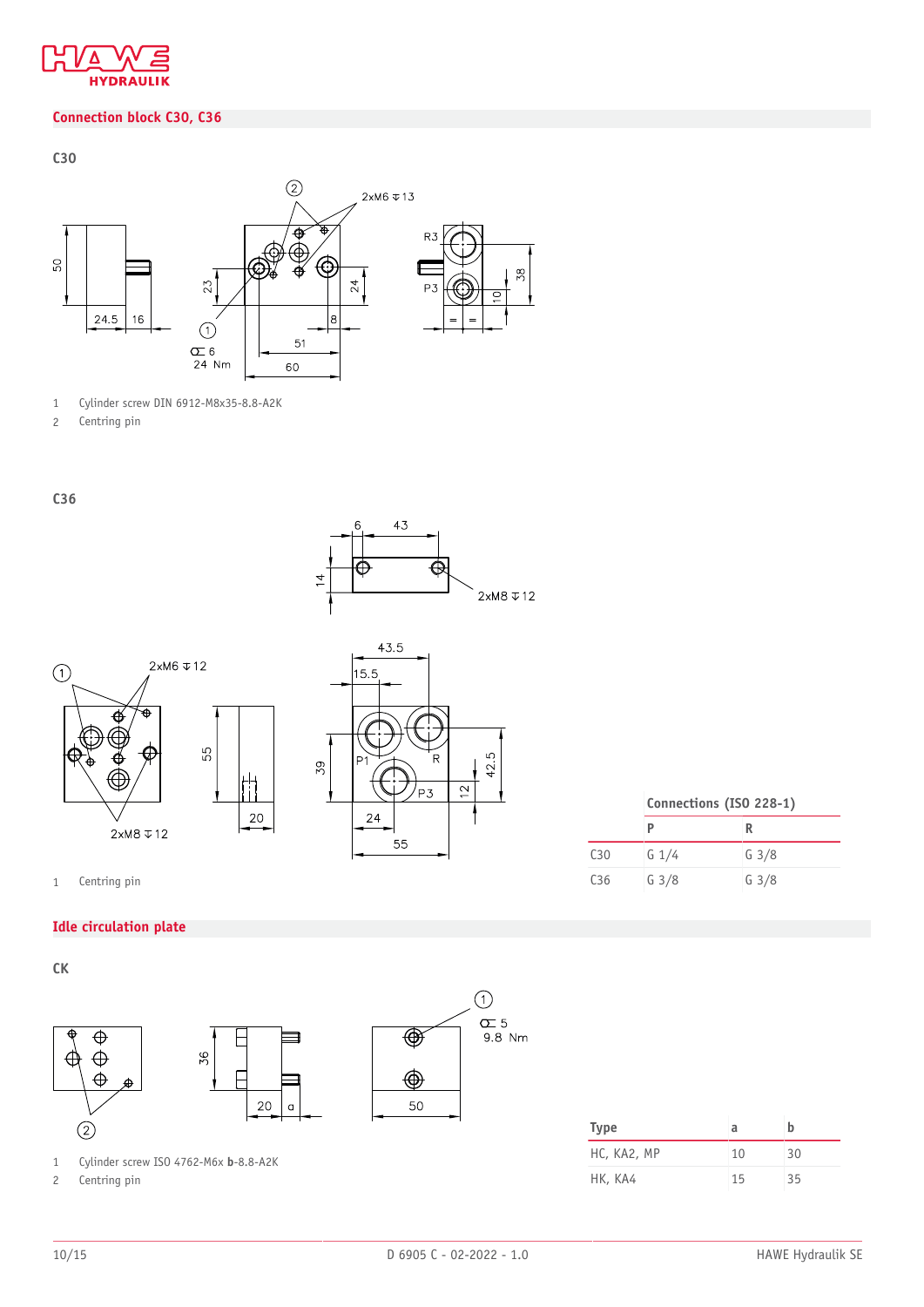

## **Connection block C30, C36**

**C30**



1 Cylinder screw DIN 6912-M8x35-8.8-A2K

2 Centring pin

**C36**







1 Centring pin

### **Idle circulation plate**

**CK**



**Connections (ISO 228-1)**

**P R** C30 G 1/4 G 3/8 C36 G 3/8 G 3/8

| Type        | a  | h  |
|-------------|----|----|
| HC, KA2, MP | 10 | 30 |
| HK, KA4     | 15 | 35 |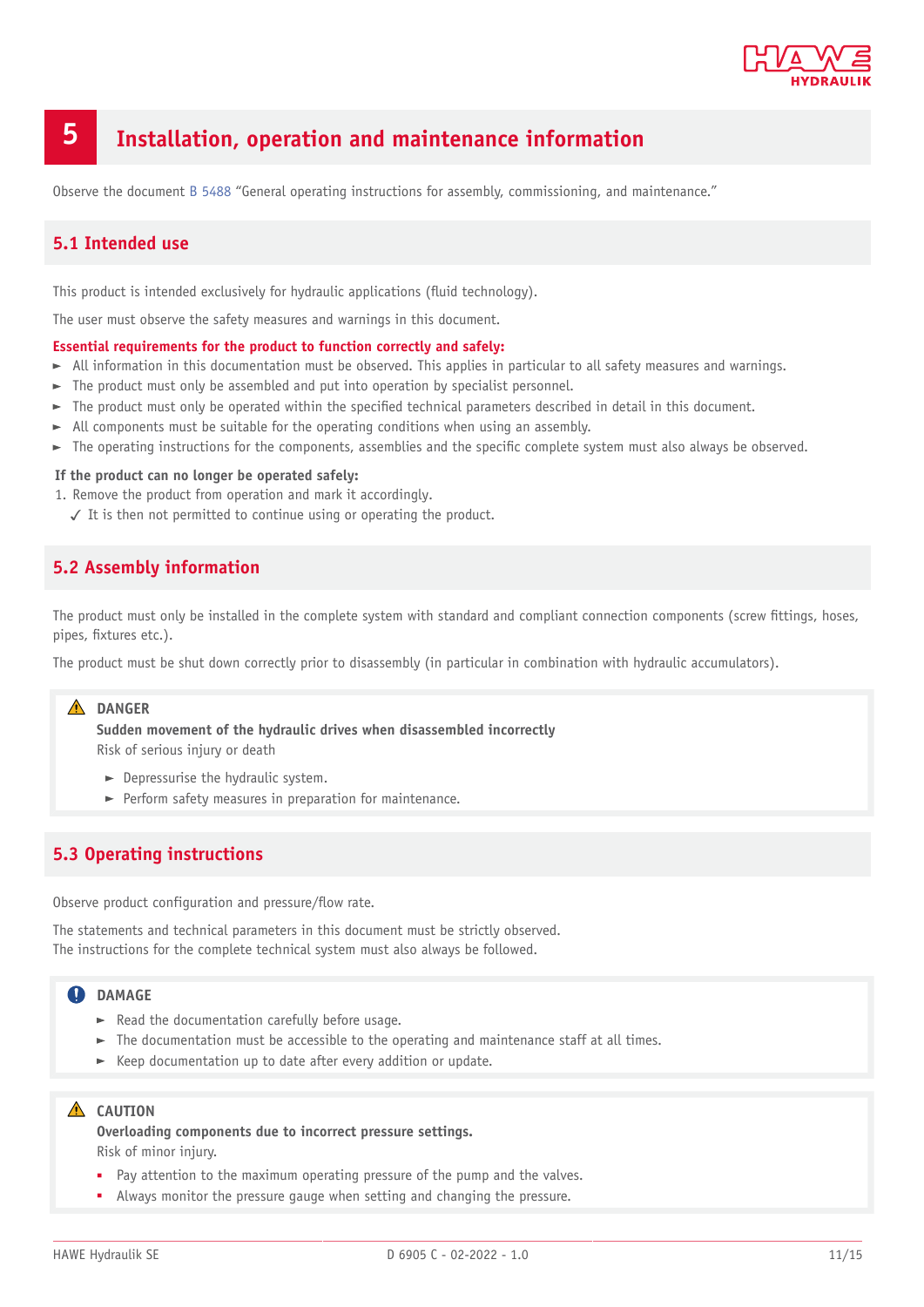

# <span id="page-10-0"></span>**5 Installation, operation and maintenance information**

<span id="page-10-1"></span>Observe the document [B 5488](http://www.hawe.de/fileadmin/content/typeman/catalog/Pdf/5/4/B5488-en.pdf) "General operating instructions for assembly, commissioning, and maintenance."

## **5.1 Intended use**

This product is intended exclusively for hydraulic applications (fluid technology).

The user must observe the safety measures and warnings in this document.

#### **Essential requirements for the product to function correctly and safely:**

- $\blacktriangleright$  All information in this documentation must be observed. This applies in particular to all safety measures and warnings.
- $\blacktriangleright$  The product must only be assembled and put into operation by specialist personnel.
- $\blacktriangleright$  The product must only be operated within the specified technical parameters described in detail in this document.
- All components must be suitable for the operating conditions when using an assembly.
- $\blacktriangleright$  The operating instructions for the components, assemblies and the specific complete system must also always be observed.

#### **If the product can no longer be operated safely:**

- 1. Remove the product from operation and mark it accordingly.
	- ✓ It is then not permitted to continue using or operating the product.

## <span id="page-10-2"></span>**5.2 Assembly information**

The product must only be installed in the complete system with standard and compliant connection components (screw fittings, hoses, pipes, fixtures etc.).

The product must be shut down correctly prior to disassembly (in particular in combination with hydraulic accumulators).

## **DANGER**

**Sudden movement of the hydraulic drives when disassembled incorrectly** Risk of serious injury or death

- $\blacktriangleright$  Depressurise the hydraulic system.
- $\blacktriangleright$  Perform safety measures in preparation for maintenance.

## <span id="page-10-3"></span>**5.3 Operating instructions**

Observe product configuration and pressure/flow rate.

The statements and technical parameters in this document must be strictly observed. The instructions for the complete technical system must also always be followed.

### **QDAMAGE**

- $\blacktriangleright$  Read the documentation carefully before usage.
- $\blacktriangleright$  The documentation must be accessible to the operating and maintenance staff at all times.
- $\blacktriangleright$  Keep documentation up to date after every addition or update.

#### **A** CAUTION

**Overloading components due to incorrect pressure settings.**

Risk of minor injury.

- Pay attention to the maximum operating pressure of the pump and the valves.
- Always monitor the pressure gauge when setting and changing the pressure.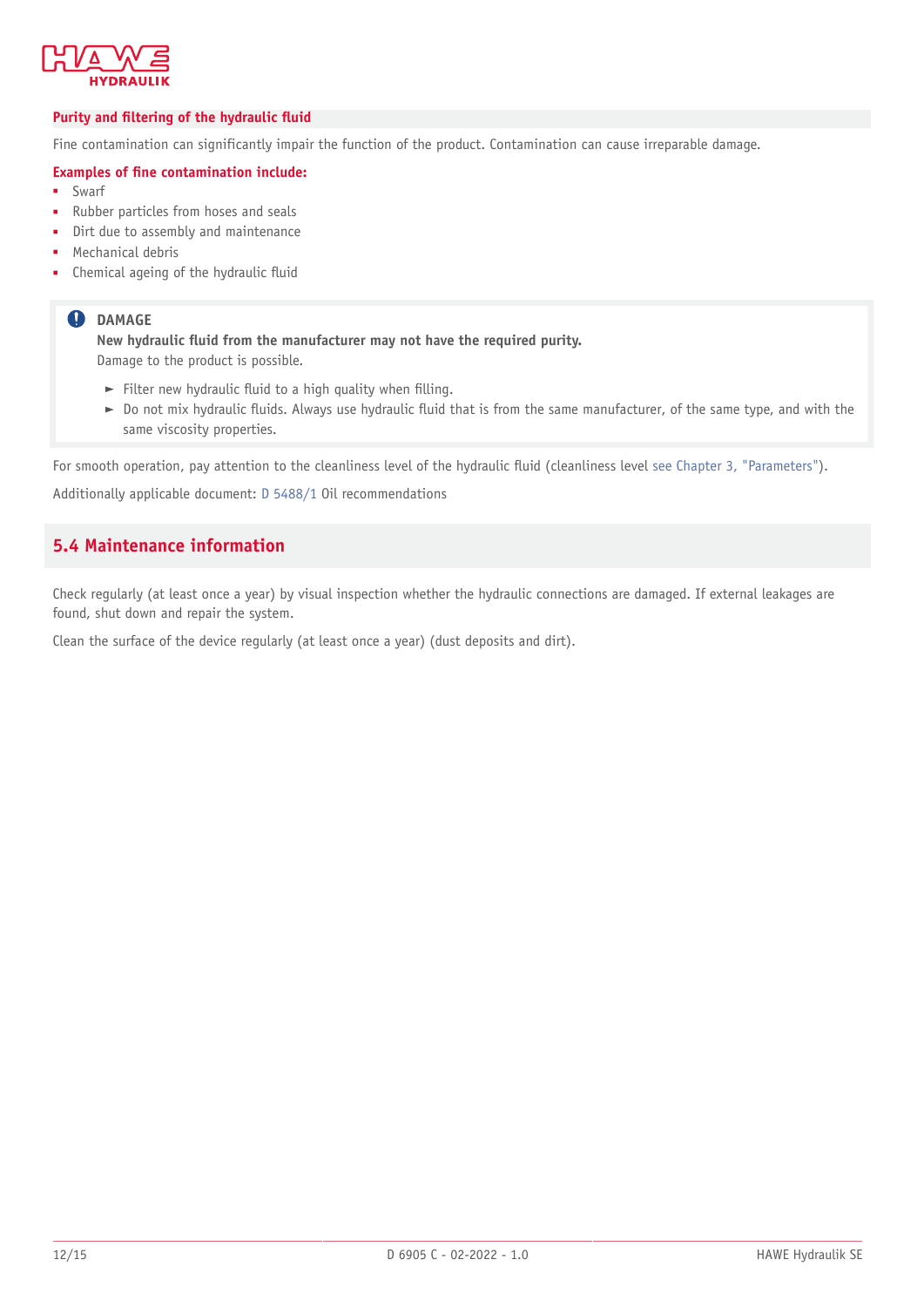

#### *Purity* **and filtering of the hydraulic fluid**

Fine contamination can significantly impair the function of the product. Contamination can cause irreparable damage.

#### **Examples of ne contamination include:**

- **Swarf**
- Rubber particles from hoses and seals
- Dirt due to assembly and maintenance
- Mechanical debris
- Chemical ageing of the hydraulic fluid

#### **O** DAMAGE

**New hydraulic uid from the manufacturer may not have the required purity.** Damage to the product is possible.

- Filter new hydraulic fluid to a high quality when filling.
- $\triangleright$  Do not mix hydraulic fluids. Always use hydraulic fluid that is from the same manufacturer, of the same type, and with the same viscosity properties.

For smooth operation, pay attention to the cleanliness level of the hydraulic fluid (cleanliness level [see Chapter 3,](#page-6-0) "Parameters").

<span id="page-11-0"></span>Additionally applicable document: [D 5488/1](https://downloads.hawe.com/5/4/D54881-en.pdf) Oil recommendations

## **5.4 Maintenance information**

Check regularly (at least once a year) by visual inspection whether the hydraulic connections are damaged. If external leakages are found, shut down and repair the system.

Clean the surface of the device regularly (at least once a year) (dust deposits and dirt).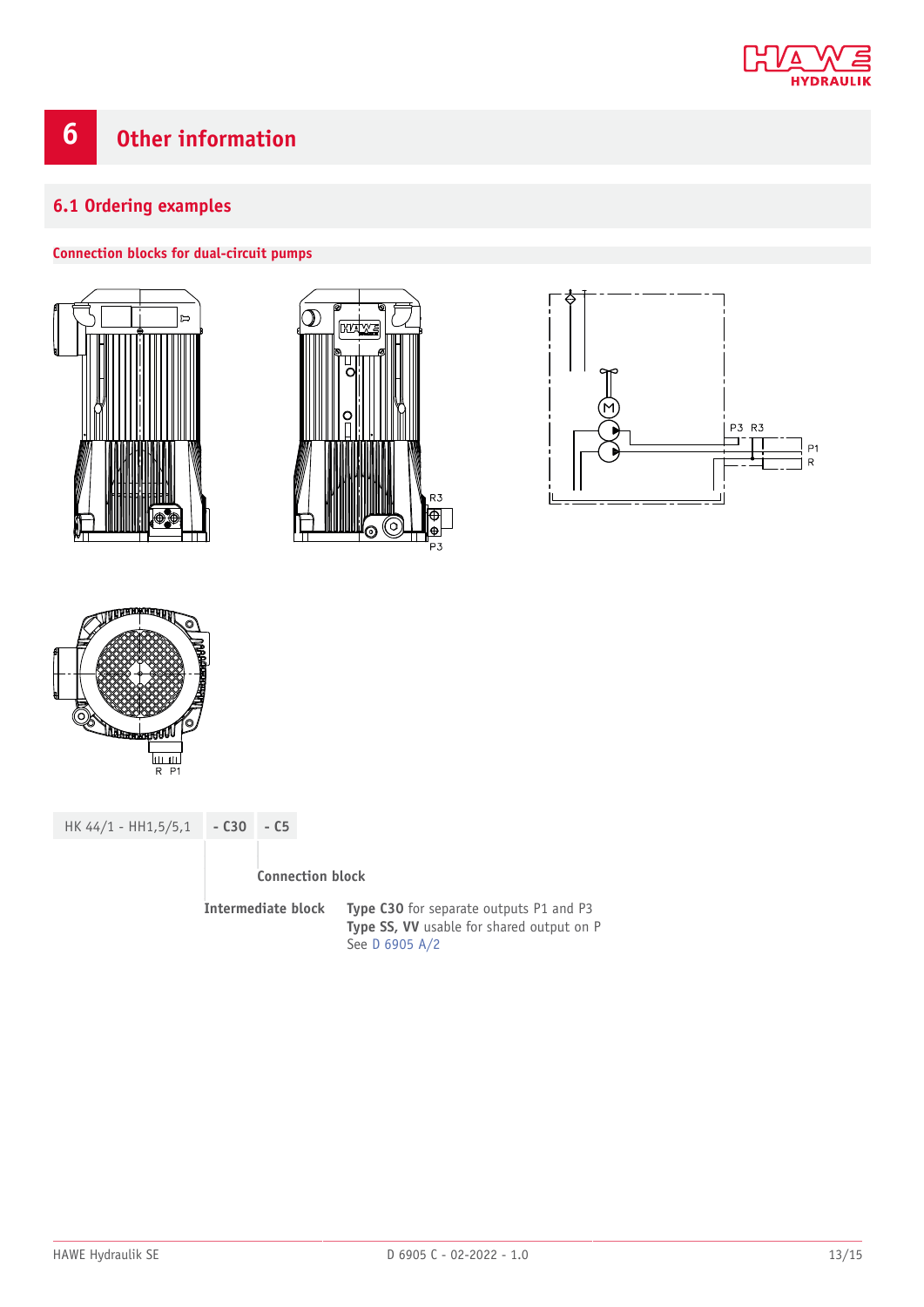

# <span id="page-12-1"></span><span id="page-12-0"></span>**6.1 Ordering examples**

#### **Connection blocks for dual-circuit pumps**









HK 44/1 - HH1,5/5,1 **- C30 - C5 Connection block Intermediate block Type C30** for separate outputs P1 and P3 **Type SS, VV** usable for shared output on P

See [D 6905 A/2](https://downloads.hawe.com/6/9/D6905A2-de.pdf)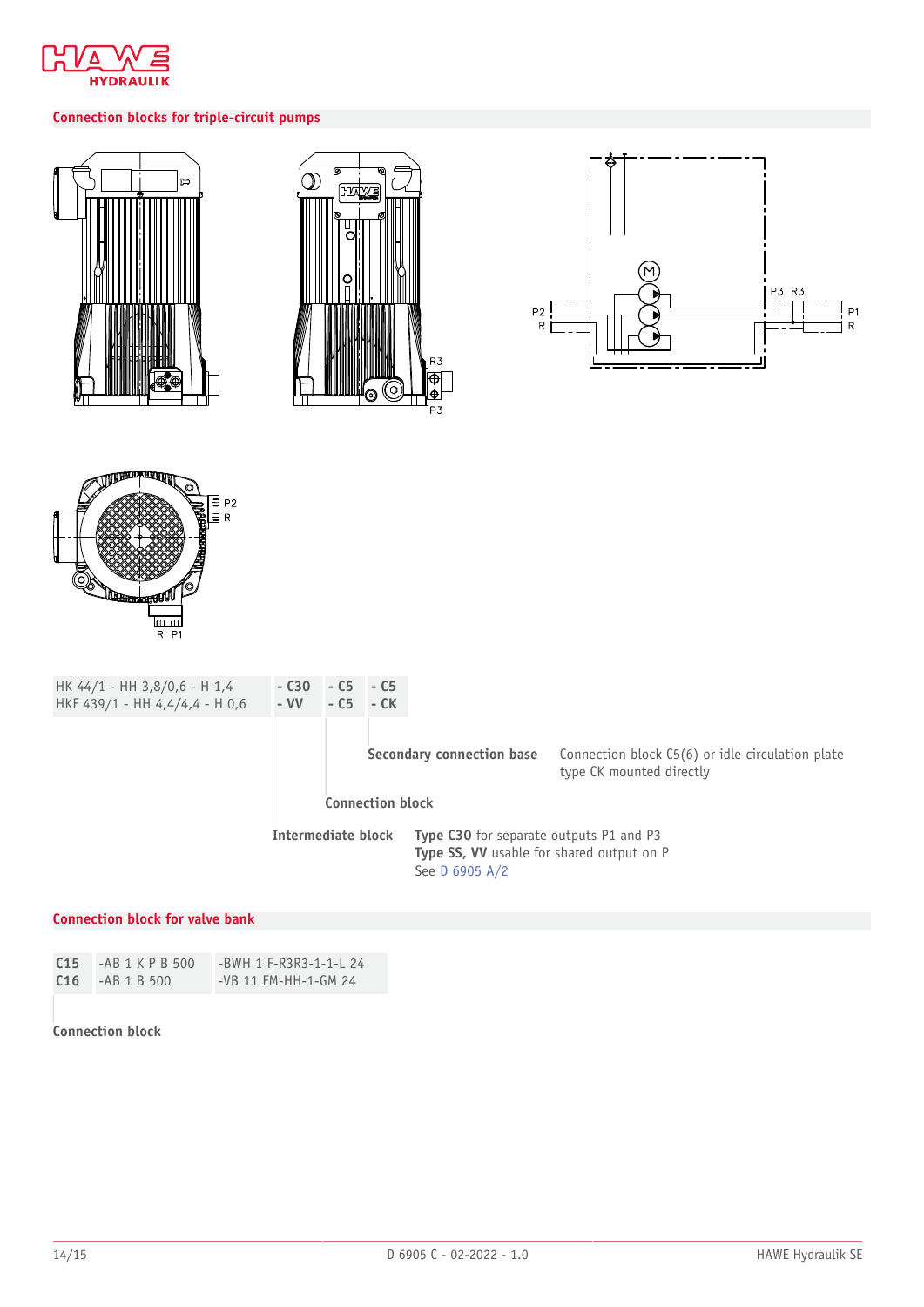

## **Connection blocks for triple-circuit pumps**









| HK $44/1$ - HH 3,8/0,6 - H 1,4<br>HKF 439/1 - HH 4,4/4,4 - H 0,6 | $-$ C <sub>30</sub><br>$- VV$ | $- C5 - C5$<br>$- C5 - CK$ |  |                                                                                                                      |                                                                              |
|------------------------------------------------------------------|-------------------------------|----------------------------|--|----------------------------------------------------------------------------------------------------------------------|------------------------------------------------------------------------------|
|                                                                  |                               |                            |  | Secondary connection base                                                                                            | Connection block C5(6) or idle circulation plate<br>type CK mounted directly |
|                                                                  | <b>Connection block</b>       |                            |  |                                                                                                                      |                                                                              |
|                                                                  | Intermediate block            |                            |  | <b>Type C30</b> for separate outputs P1 and P3<br><b>Type SS, VV</b> usable for shared output on P<br>See D 6905 A/2 |                                                                              |

#### **Connection block for valve bank**

| C15 | -AB 1 K P B 500 | -BWH 1 F-R3R3-1-1-L 24 |
|-----|-----------------|------------------------|
| C16 | $-AB$ 1 B 500   | -VB 11 FM-HH-1-GM 24   |

#### **Connection block**